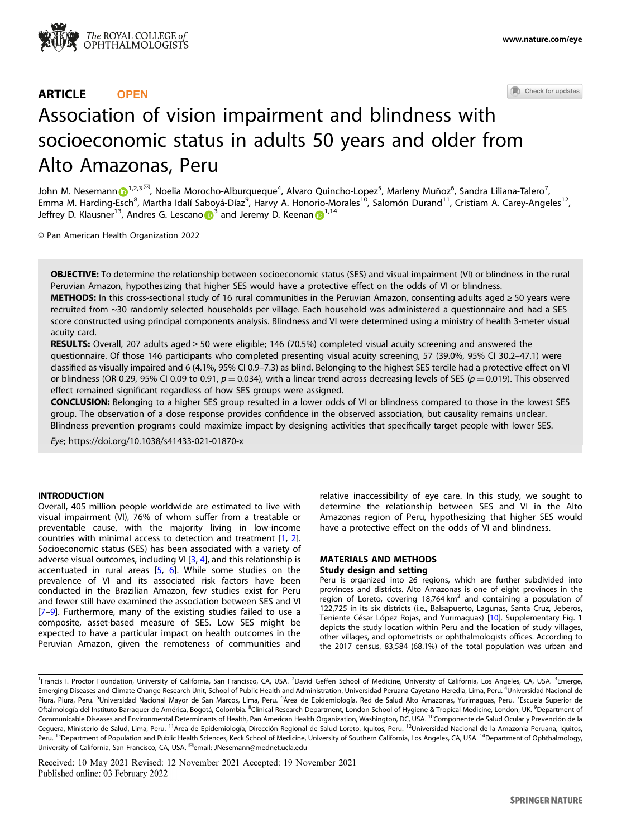

## ARTICLE **OPEN**

Check for updates

# Association of vision impairment and blindness with socioeconomic status in adults 50 years and older from Alto Amazonas, Peru

John M. Nesemann D<sup>[1](http://orcid.org/0000-0002-9948-6498),2,3⊠</sup>, Noelia Morocho-Alburqueque<sup>4</sup>, Alvaro Quincho-Lopez<sup>5</sup>, Marleny Muñoz<sup>6</sup>, Sandra Liliana-Talero<sup>7</sup>, Emma M. Harding-Esch<sup>8</sup>, Martha Idalí Saboyá-Díaz<sup>9</sup>, Harvy A. Honorio-Morales<sup>10</sup>, Salomón Durand<sup>11</sup>, Cristiam A. Carey-Angeles<sup>12</sup>, Jeffrey D. Klausner<sup>1[3](http://orcid.org/0000-0001-9779-633X)</sup>, A[n](http://orcid.org/0000-0002-7118-1457)dres G. Lescano  $\overline{D}^3$  and Jeremy D. Keenan  $\overline{D}^{1,14}$  $\overline{D}^{1,14}$  $\overline{D}^{1,14}$ 

© Pan American Health Organization 2022

OBJECTIVE: To determine the relationship between socioeconomic status (SES) and visual impairment (VI) or blindness in the rural Peruvian Amazon, hypothesizing that higher SES would have a protective effect on the odds of VI or blindness.

METHODS: In this cross-sectional study of 16 rural communities in the Peruvian Amazon, consenting adults aged ≥ 50 years were recruited from ~30 randomly selected households per village. Each household was administered a questionnaire and had a SES score constructed using principal components analysis. Blindness and VI were determined using a ministry of health 3-meter visual acuity card.

RESULTS: Overall, 207 adults aged  $\geq$  50 were eligible; 146 (70.5%) completed visual acuity screening and answered the questionnaire. Of those 146 participants who completed presenting visual acuity screening, 57 (39.0%, 95% CI 30.2–47.1) were classified as visually impaired and 6 (4.1%, 95% CI 0.9–7.3) as blind. Belonging to the highest SES tercile had a protective effect on VI or blindness (OR 0.29, 95% CI 0.09 to 0.91,  $p = 0.034$ ), with a linear trend across decreasing levels of SES ( $p = 0.019$ ). This observed effect remained significant regardless of how SES groups were assigned.

CONCLUSION: Belonging to a higher SES group resulted in a lower odds of VI or blindness compared to those in the lowest SES group. The observation of a dose response provides confidence in the observed association, but causality remains unclear. Blindness prevention programs could maximize impact by designing activities that specifically target people with lower SES.

Eye;<https://doi.org/10.1038/s41433-021-01870-x>

## INTRODUCTION

Overall, 405 million people worldwide are estimated to live with visual impairment (VI), 76% of whom suffer from a treatable or preventable cause, with the majority living in low-income countries with minimal access to detection and treatment [\[1,](#page-4-0) [2\]](#page-4-0). Socioeconomic status (SES) has been associated with a variety of adverse visual outcomes, including VI [\[3,](#page-4-0) [4](#page-4-0)], and this relationship is accentuated in rural areas [\[5,](#page-4-0) [6](#page-4-0)]. While some studies on the prevalence of VI and its associated risk factors have been conducted in the Brazilian Amazon, few studies exist for Peru and fewer still have examined the association between SES and VI [\[7](#page-4-0)–[9](#page-4-0)]. Furthermore, many of the existing studies failed to use a composite, asset-based measure of SES. Low SES might be expected to have a particular impact on health outcomes in the Peruvian Amazon, given the remoteness of communities and relative inaccessibility of eye care. In this study, we sought to determine the relationship between SES and VI in the Alto Amazonas region of Peru, hypothesizing that higher SES would have a protective effect on the odds of VI and blindness.

## MATERIALS AND METHODS Study design and setting

Peru is organized into 26 regions, which are further subdivided into provinces and districts. Alto Amazonas is one of eight provinces in the region of Loreto, covering 18,764  $km<sup>2</sup>$  and containing a population of 122,725 in its six districts (i.e., Balsapuerto, Lagunas, Santa Cruz, Jeberos, Teniente César López Rojas, and Yurimaguas) [[10\]](#page-4-0). Supplementary Fig. 1 depicts the study location within Peru and the location of study villages, other villages, and optometrists or ophthalmologists offices. According to the 2017 census, 83,584 (68.1%) of the total population was urban and

Received: 10 May 2021 Revised: 12 November 2021 Accepted: 19 November 2021 Published online: 03 February 2022

<sup>&</sup>lt;sup>1</sup>Francis I. Proctor Foundation, University of California, San Francisco, CA, USA. <sup>2</sup>David Geffen School of Medicine, University of California, Los Angeles, CA, USA. <sup>3</sup>Emerge, Emerging Diseases and Climate Change Research Unit, School of Public Health and Administration, Universidad Peruana Cayetano Heredia, Lima, Peru. <sup>4</sup>Universidad Nacional de Piura, Piura, Peru. <sup>5</sup>Universidad Nacional Mayor de San Marcos, Lima, Peru. <sup>6</sup>Área de Epidemiología, Red de Salud Alto Amazonas, Yurimaguas, Peru. <sup>7</sup>Escuela Superior de Oftalmología del Instituto Barraquer de América, Bogotá, Colombia. <sup>8</sup>Clinical Research Department, London School of Hygiene & Tropical Medicine, London, UK. <sup>9</sup>Department of Communicable Diseases and Environmental Determinants of Health, Pan American Health Organization, Washington, DC, USA. <sup>10</sup>Componente de Salud Ocular y Prevención de la Ceguera, Ministerio de Salud, Lima, Peru. <sup>11</sup>Área de Epidemiología, Dirección Regional de Salud Loreto, Iquitos, Peru. <sup>12</sup>Universidad Nacional de la Amazonia Peruana, Iquitos, Peru. <sup>13</sup>Department of Population and Public Health Sciences, Keck School of Medicine, University of Southern California, Los Angeles, CA, USA. <sup>14</sup>Department of Ophthalmology, University of California, San Francisco, CA, USA. <sup>⊠</sup>email: [JNesemann@mednet.ucla.edu](mailto:JNesemann@mednet.ucla.edu)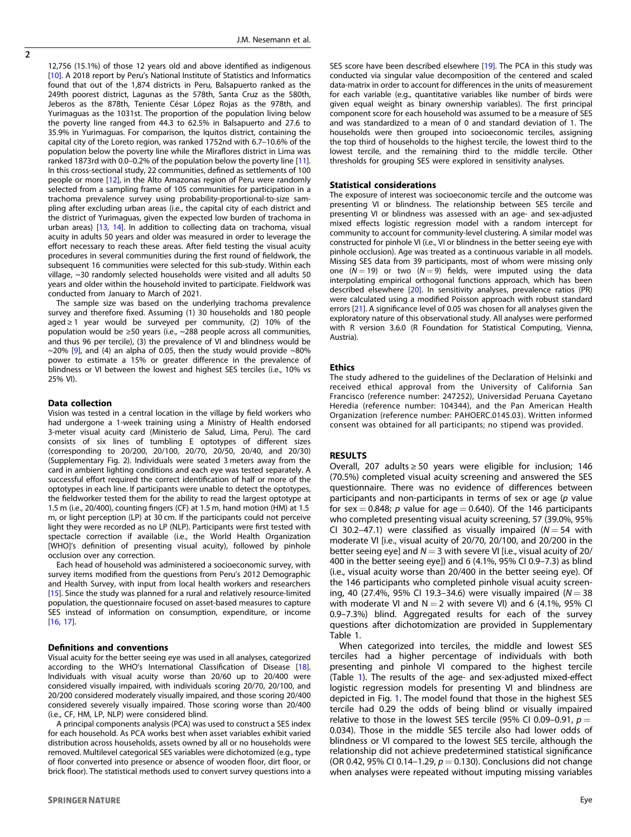$\overline{2}$ 

12,756 (15.1%) of those 12 years old and above identified as indigenous [[10\]](#page-4-0). A 2018 report by Peru's National Institute of Statistics and Informatics found that out of the 1,874 districts in Peru, Balsapuerto ranked as the 249th poorest district, Lagunas as the 578th, Santa Cruz as the 580th, Jeberos as the 878th, Teniente César López Rojas as the 978th, and Yurimaguas as the 1031st. The proportion of the population living below the poverty line ranged from 44.3 to 62.5% in Balsapuerto and 27.6 to 35.9% in Yurimaguas. For comparison, the Iquitos district, containing the capital city of the Loreto region, was ranked 1752nd with 6.7–10.6% of the population below the poverty line while the Miraflores district in Lima was ranked 1873rd with 0.0–0.2% of the population below the poverty line [\[11\]](#page-4-0). In this cross-sectional study, 22 communities, defined as settlements of 100 people or more [[12\]](#page-4-0), in the Alto Amazonas region of Peru were randomly selected from a sampling frame of 105 communities for participation in a trachoma prevalence survey using probability-proportional-to-size sampling after excluding urban areas (i.e., the capital city of each district and the district of Yurimaguas, given the expected low burden of trachoma in urban areas) [\[13](#page-4-0), [14\]](#page-4-0). In addition to collecting data on trachoma, visual acuity in adults 50 years and older was measured in order to leverage the effort necessary to reach these areas. After field testing the visual acuity procedures in several communities during the first round of fieldwork, the subsequent 16 communities were selected for this sub-study. Within each village, ~30 randomly selected households were visited and all adults 50 years and older within the household invited to participate. Fieldwork was conducted from January to March of 2021.

The sample size was based on the underlying trachoma prevalence survey and therefore fixed. Assuming (1) 30 households and 180 people aged ≥ 1 year would be surveyed per community, (2) 10% of the population would be ≥50 years (i.e., ~288 people across all communities, and thus 96 per tercile), (3) the prevalence of VI and blindness would be  $\sim$ 20% [[9\]](#page-4-0), and (4) an alpha of 0.05, then the study would provide  $\sim$ 80% power to estimate a 15% or greater difference in the prevalence of blindness or VI between the lowest and highest SES terciles (i.e., 10% vs 25% VI).

#### Data collection

Vision was tested in a central location in the village by field workers who had undergone a 1-week training using a Ministry of Health endorsed 3-meter visual acuity card (Ministerio de Salud, Lima, Peru). The card consists of six lines of tumbling E optotypes of different sizes (corresponding to 20/200, 20/100, 20/70, 20/50, 20/40, and 20/30) (Supplementary Fig. 2). Individuals were seated 3 meters away from the card in ambient lighting conditions and each eye was tested separately. A successful effort required the correct identification of half or more of the optotypes in each line. If participants were unable to detect the optotypes, the fieldworker tested them for the ability to read the largest optotype at 1.5 m (i.e., 20/400), counting fingers (CF) at 1.5 m, hand motion (HM) at 1.5 m, or light perception (LP) at 30 cm. If the participants could not perceive light they were recorded as no LP (NLP). Participants were first tested with spectacle correction if available (i.e., the World Health Organization [WHO]'s definition of presenting visual acuity), followed by pinhole occlusion over any correction.

Each head of household was administered a socioeconomic survey, with survey items modified from the questions from Peru's 2012 Demographic and Health Survey, with input from local health workers and researchers [[15\]](#page-4-0). Since the study was planned for a rural and relatively resource-limited population, the questionnaire focused on asset-based measures to capture SES instead of information on consumption, expenditure, or income [[16,](#page-4-0) [17](#page-4-0)].

#### Definitions and conventions

Visual acuity for the better seeing eye was used in all analyses, categorized according to the WHO's International Classification of Disease [\[18\]](#page-4-0). Individuals with visual acuity worse than 20/60 up to 20/400 were considered visually impaired, with individuals scoring 20/70, 20/100, and 20/200 considered moderately visually impaired, and those scoring 20/400 considered severely visually impaired. Those scoring worse than 20/400 (i.e., CF, HM, LP, NLP) were considered blind.

A principal components analysis (PCA) was used to construct a SES index for each household. As PCA works best when asset variables exhibit varied distribution across households, assets owned by all or no households were removed. Multilevel categorical SES variables were dichotomized (e.g., type of floor converted into presence or absence of wooden floor, dirt floor, or brick floor). The statistical methods used to convert survey questions into a

SES score have been described elsewhere [\[19](#page-4-0)]. The PCA in this study was conducted via singular value decomposition of the centered and scaled data-matrix in order to account for differences in the units of measurement for each variable (e.g., quantitative variables like number of birds were given equal weight as binary ownership variables). The first principal component score for each household was assumed to be a measure of SES and was standardized to a mean of 0 and standard deviation of 1. The households were then grouped into socioeconomic terciles, assigning the top third of households to the highest tercile, the lowest third to the lowest tercile, and the remaining third to the middle tercile. Other thresholds for grouping SES were explored in sensitivity analyses.

## Statistical considerations

The exposure of interest was socioeconomic tercile and the outcome was presenting VI or blindness. The relationship between SES tercile and presenting VI or blindness was assessed with an age- and sex-adjusted mixed effects logistic regression model with a random intercept for community to account for community-level clustering. A similar model was constructed for pinhole VI (i.e., VI or blindness in the better seeing eye with pinhole occlusion). Age was treated as a continuous variable in all models. Missing SES data from 39 participants, most of whom were missing only one  $(N = 19)$  or two  $(N = 9)$  fields, were imputed using the data interpolating empirical orthogonal functions approach, which has been described elsewhere [[20\]](#page-4-0). In sensitivity analyses, prevalence ratios (PR) were calculated using a modified Poisson approach with robust standard errors [[21\]](#page-4-0). A significance level of 0.05 was chosen for all analyses given the exploratory nature of this observational study. All analyses were performed with R version 3.6.0 (R Foundation for Statistical Computing, Vienna, Austria).

## Ethics

The study adhered to the guidelines of the Declaration of Helsinki and received ethical approval from the University of California San Francisco (reference number: 247252), Universidad Peruana Cayetano Heredia (reference number: 104344), and the Pan American Health Organization (reference number: PAHOERC.0145.03). Written informed consent was obtained for all participants; no stipend was provided.

## RESULTS

Overall, 207 adults ≥ 50 years were eligible for inclusion; 146 (70.5%) completed visual acuity screening and answered the SES questionnaire. There was no evidence of differences between participants and non-participants in terms of sex or age  $(p)$  value for sex = 0.848; p value for age = 0.640). Of the 146 participants who completed presenting visual acuity screening, 57 (39.0%, 95% CI 30.2-47.1) were classified as visually impaired ( $N = 54$  with moderate VI [i.e., visual acuity of 20/70, 20/100, and 20/200 in the better seeing eye] and  $N = 3$  with severe VI [i.e., visual acuity of 20/ 400 in the better seeing eye]) and 6 (4.1%, 95% CI 0.9–7.3) as blind (i.e., visual acuity worse than 20/400 in the better seeing eye). Of the 146 participants who completed pinhole visual acuity screening, 40 (27.4%, 95% CI 19.3–34.6) were visually impaired ( $N = 38$ ) with moderate VI and  $N = 2$  with severe VI) and 6 (4.1%, 95% CI 0.9–7.3%) blind. Aggregated results for each of the survey questions after dichotomization are provided in Supplementary Table 1.

When categorized into terciles, the middle and lowest SES terciles had a higher percentage of individuals with both presenting and pinhole VI compared to the highest tercile (Table [1](#page-2-0)). The results of the age- and sex-adjusted mixed-effect logistic regression models for presenting VI and blindness are depicted in Fig. [1](#page-3-0). The model found that those in the highest SES tercile had 0.29 the odds of being blind or visually impaired relative to those in the lowest SES tercile (95% CI 0.09-0.91,  $p =$ 0.034). Those in the middle SES tercile also had lower odds of blindness or VI compared to the lowest SES tercile, although the relationship did not achieve predetermined statistical significance (OR 0.42, 95% CI 0.14–1.29,  $p = 0.130$ ). Conclusions did not change when analyses were repeated without imputing missing variables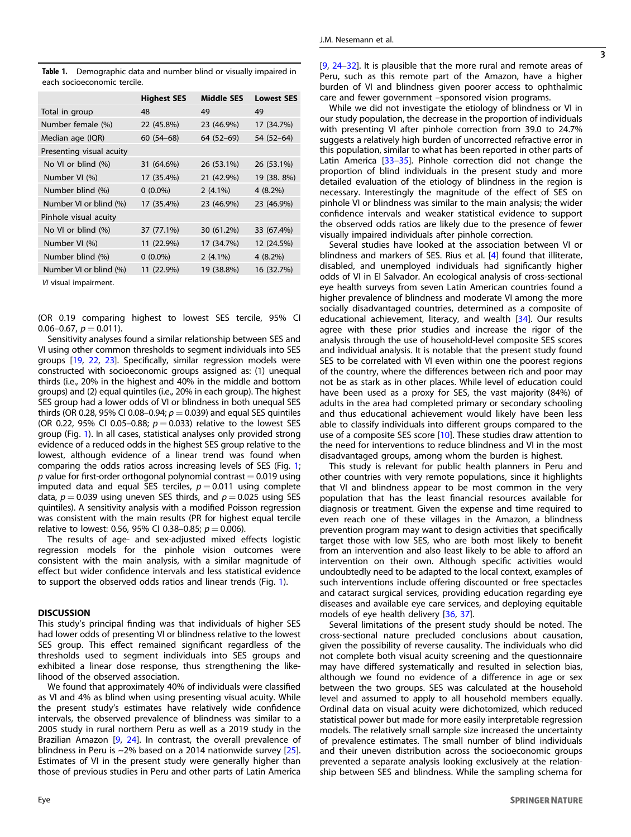<span id="page-2-0"></span>Table 1. Demographic data and number blind or visually impaired in each socioeconomic tercile.

|                          | <b>Highest SES</b> | <b>Middle SES</b> | <b>Lowest SES</b> |
|--------------------------|--------------------|-------------------|-------------------|
| Total in group           | 48                 | 49                | 49                |
| Number female (%)        | 22 (45.8%)         | 23 (46.9%)        | 17 (34.7%)        |
| Median age (IQR)         | $60(54-68)$        | 64 (52–69)        | 54 (52-64)        |
| Presenting visual acuity |                    |                   |                   |
| No VI or blind (%)       | 31 (64.6%)         | 26 (53.1%)        | 26 (53.1%)        |
| Number VI (%)            | 17 (35.4%)         | 21 (42.9%)        | 19 (38. 8%)       |
| Number blind (%)         | $0(0.0\%)$         | $2(4.1\%)$        | $4(8.2\%)$        |
| Number VI or blind (%)   | 17 (35.4%)         | 23 (46.9%)        | 23 (46.9%)        |
| Pinhole visual acuity    |                    |                   |                   |
| No VI or blind (%)       | 37 (77.1%)         | 30 (61.2%)        | 33 (67.4%)        |
| Number VI (%)            | 11 (22.9%)         | 17 (34.7%)        | 12 (24.5%)        |
| Number blind (%)         | $0(0.0\%)$         | $2(4.1\%)$        | $4(8.2\%)$        |
| Number VI or blind (%)   | 11 (22.9%)         | 19 (38.8%)        | 16 (32.7%)        |
| VI visual impairment.    |                    |                   |                   |

(OR 0.19 comparing highest to lowest SES tercile, 95% CI 0.06–0.67,  $p = 0.011$ ).

Sensitivity analyses found a similar relationship between SES and VI using other common thresholds to segment individuals into SES groups [[19,](#page-4-0) [22,](#page-4-0) [23](#page-4-0)]. Specifically, similar regression models were constructed with socioeconomic groups assigned as: (1) unequal thirds (i.e., 20% in the highest and 40% in the middle and bottom groups) and (2) equal quintiles (i.e., 20% in each group). The highest SES group had a lower odds of VI or blindness in both unequal SES thirds (OR 0.28, 95% CI 0.08–0.94;  $p = 0.039$ ) and equal SES quintiles (OR 0.22, 95% CI 0.05–0.88;  $p = 0.033$ ) relative to the lowest SES group (Fig. [1\)](#page-3-0). In all cases, statistical analyses only provided strong evidence of a reduced odds in the highest SES group relative to the lowest, although evidence of a linear trend was found when comparing the odds ratios across increasing levels of SES (Fig. [1](#page-3-0); p value for first-order orthogonal polynomial contrast  $= 0.019$  using imputed data and equal SES terciles,  $p = 0.011$  using complete data,  $p = 0.039$  using uneven SES thirds, and  $p = 0.025$  using SES quintiles). A sensitivity analysis with a modified Poisson regression was consistent with the main results (PR for highest equal tercile relative to lowest: 0.56, 95% CI 0.38-0.85;  $p = 0.006$ ).

The results of age- and sex-adjusted mixed effects logistic regression models for the pinhole vision outcomes were consistent with the main analysis, with a similar magnitude of effect but wider confidence intervals and less statistical evidence to support the observed odds ratios and linear trends (Fig. [1\)](#page-3-0).

## **DISCUSSION**

This study's principal finding was that individuals of higher SES had lower odds of presenting VI or blindness relative to the lowest SES group. This effect remained significant regardless of the thresholds used to segment individuals into SES groups and exhibited a linear dose response, thus strengthening the likelihood of the observed association.

We found that approximately 40% of individuals were classified as VI and 4% as blind when using presenting visual acuity. While the present study's estimates have relatively wide confidence intervals, the observed prevalence of blindness was similar to a 2005 study in rural northern Peru as well as a 2019 study in the Brazilian Amazon [\[9,](#page-4-0) [24\]](#page-4-0). In contrast, the overall prevalence of blindness in Peru is ~2% based on a 2014 nationwide survey [\[25\]](#page-4-0). Estimates of VI in the present study were generally higher than those of previous studies in Peru and other parts of Latin America  $[9, 24-32]$  $[9, 24-32]$  $[9, 24-32]$  $[9, 24-32]$  $[9, 24-32]$ . It is plausible that the more rural and remote areas of Peru, such as this remote part of the Amazon, have a higher burden of VI and blindness given poorer access to ophthalmic care and fewer government –sponsored vision programs.

While we did not investigate the etiology of blindness or VI in our study population, the decrease in the proportion of individuals with presenting VI after pinhole correction from 39.0 to 24.7% suggests a relatively high burden of uncorrected refractive error in this population, similar to what has been reported in other parts of Latin America [\[33](#page-4-0)–[35\]](#page-4-0). Pinhole correction did not change the proportion of blind individuals in the present study and more detailed evaluation of the etiology of blindness in the region is necessary. Interestingly the magnitude of the effect of SES on pinhole VI or blindness was similar to the main analysis; the wider confidence intervals and weaker statistical evidence to support the observed odds ratios are likely due to the presence of fewer visually impaired individuals after pinhole correction.

Several studies have looked at the association between VI or blindness and markers of SES. Rius et al. [[4](#page-4-0)] found that illiterate, disabled, and unemployed individuals had significantly higher odds of VI in El Salvador. An ecological analysis of cross-sectional eye health surveys from seven Latin American countries found a higher prevalence of blindness and moderate VI among the more socially disadvantaged countries, determined as a composite of educational achievement, literacy, and wealth [\[34](#page-4-0)]. Our results agree with these prior studies and increase the rigor of the analysis through the use of household-level composite SES scores and individual analysis. It is notable that the present study found SES to be correlated with VI even within one the poorest regions of the country, where the differences between rich and poor may not be as stark as in other places. While level of education could have been used as a proxy for SES, the vast majority (84%) of adults in the area had completed primary or secondary schooling and thus educational achievement would likely have been less able to classify individuals into different groups compared to the use of a composite SES score [[10\]](#page-4-0). These studies draw attention to the need for interventions to reduce blindness and VI in the most disadvantaged groups, among whom the burden is highest.

This study is relevant for public health planners in Peru and other countries with very remote populations, since it highlights that VI and blindness appear to be most common in the very population that has the least financial resources available for diagnosis or treatment. Given the expense and time required to even reach one of these villages in the Amazon, a blindness prevention program may want to design activities that specifically target those with low SES, who are both most likely to benefit from an intervention and also least likely to be able to afford an intervention on their own. Although specific activities would undoubtedly need to be adapted to the local context, examples of such interventions include offering discounted or free spectacles and cataract surgical services, providing education regarding eye diseases and available eye care services, and deploying equitable models of eye health delivery [[36,](#page-4-0) [37\]](#page-4-0).

Several limitations of the present study should be noted. The cross-sectional nature precluded conclusions about causation, given the possibility of reverse causality. The individuals who did not complete both visual acuity screening and the questionnaire may have differed systematically and resulted in selection bias, although we found no evidence of a difference in age or sex between the two groups. SES was calculated at the household level and assumed to apply to all household members equally. Ordinal data on visual acuity were dichotomized, which reduced statistical power but made for more easily interpretable regression models. The relatively small sample size increased the uncertainty of prevalence estimates. The small number of blind individuals and their uneven distribution across the socioeconomic groups prevented a separate analysis looking exclusively at the relationship between SES and blindness. While the sampling schema for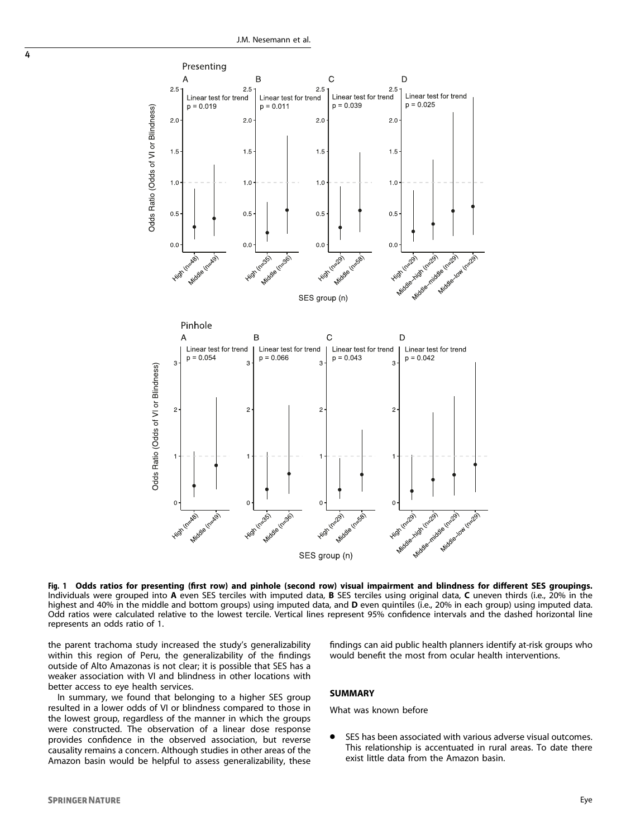

Fig. 1 Odds ratios for presenting (first row) and pinhole (second row) visual impairment and blindness for different SES groupings.<br>Individuals were grouped into A even SES terciles with imputed data, B SES terciles using highest and 40% in the middle and bottom groups) using imputed data, and **D** even quintiles (i.e., 20% in each group) using imputed data. Odd ratios were calculated relative to the lowest tercile. Vertical lines represent 95% confidence intervals and the dashed horizontal line represents an odds ratio of 1.

the parent trachoma study increased the study's generalizability within this region of Peru, the generalizability of the findings outside of Alto Amazonas is not clear; it is possible that SES has a weaker association with VI and blindness in other locations with better access to eye health services.

In summary, we found that belonging to a higher SES group resulted in a lower odds of VI or blindness compared to those in the lowest group, regardless of the manner in which the groups were constructed. The observation of a linear dose response provides confidence in the observed association, but reverse causality remains a concern. Although studies in other areas of the Amazon basin would be helpful to assess generalizability, these findings can aid public health planners identify at-risk groups who would benefit the most from ocular health interventions.

## **SUMMARY**

What was known before

● SES has been associated with various adverse visual outcomes. This relationship is accentuated in rural areas. To date there exist little data from the Amazon basin.

<span id="page-3-0"></span>4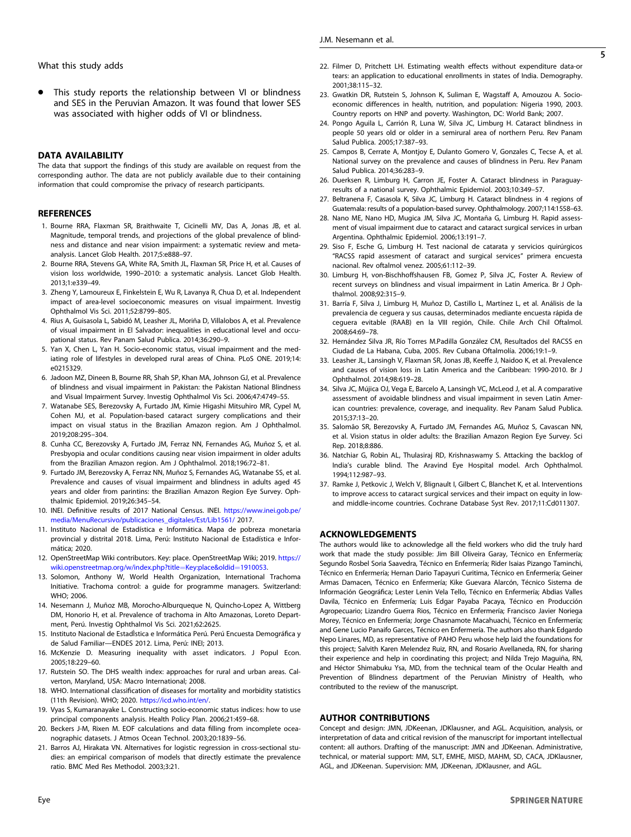<span id="page-4-0"></span>This study reports the relationship between VI or blindness and SES in the Peruvian Amazon. It was found that lower SES was associated with higher odds of VI or blindness.

## DATA AVAILABILITY

The data that support the findings of this study are available on request from the corresponding author. The data are not publicly available due to their containing information that could compromise the privacy of research participants.

## **REFERENCES**

- 1. Bourne RRA, Flaxman SR, Braithwaite T, Cicinelli MV, Das A, Jonas JB, et al. Magnitude, temporal trends, and projections of the global prevalence of blindness and distance and near vision impairment: a systematic review and metaanalysis. Lancet Glob Health. 2017;5:e888–97.
- 2. Bourne RRA, Stevens GA, White RA, Smith JL, Flaxman SR, Price H, et al. Causes of vision loss worldwide, 1990–2010: a systematic analysis. Lancet Glob Health. 2013;1:e339–49.
- 3. Zheng Y, Lamoureux E, Finkelstein E, Wu R, Lavanya R, Chua D, et al. Independent impact of area-level socioeconomic measures on visual impairment. Investig Ophthalmol Vis Sci. 2011;52:8799–805.
- 4. Rius A, Guisasola L, Sabidó M, Leasher JL, Moriña D, Villalobos A, et al. Prevalence of visual impairment in El Salvador: inequalities in educational level and occupational status. Rev Panam Salud Publica. 2014;36:290–9.
- 5. Yan X, Chen L, Yan H. Socio-economic status, visual impairment and the mediating role of lifestyles in developed rural areas of China. PLoS ONE. 2019;14: e0215329.
- 6. Jadoon MZ, Dineen B, Bourne RR, Shah SP, Khan MA, Johnson GJ, et al. Prevalence of blindness and visual impairment in Pakistan: the Pakistan National Blindness and Visual Impairment Survey. Investig Ophthalmol Vis Sci. 2006;47:4749–55.
- 7. Watanabe SES, Berezovsky A, Furtado JM, Kimie Higashi Mitsuhiro MR, Cypel M, Cohen MJ, et al. Population-based cataract surgery complications and their impact on visual status in the Brazilian Amazon region. Am J Ophthalmol. 2019;208:295–304.
- 8. Cunha CC, Berezovsky A, Furtado JM, Ferraz NN, Fernandes AG, Muñoz S, et al. Presbyopia and ocular conditions causing near vision impairment in older adults from the Brazilian Amazon region. Am J Ophthalmol. 2018;196:72–81.
- 9. Furtado JM, Berezovsky A, Ferraz NN, Muñoz S, Fernandes AG, Watanabe SS, et al. Prevalence and causes of visual impairment and blindness in adults aged 45 years and older from parintins: the Brazilian Amazon Region Eye Survey. Ophthalmic Epidemiol. 2019;26:345–54.
- 10. INEI. Definitive results of 2017 National Census. INEI. [https://www.inei.gob.pe/](https://www.inei.gob.pe/media/MenuRecursivo/publicaciones_digitales/Est/Lib1561/) [media/MenuRecursivo/publicaciones\\_digitales/Est/Lib1561/](https://www.inei.gob.pe/media/MenuRecursivo/publicaciones_digitales/Est/Lib1561/) 2017.
- 11. Instituto Nacional de Estadística e Informática. Mapa de pobreza monetaria provincial y distrital 2018. Lima, Perú: Instituto Nacional de Estadística e Informática; 2020.
- 12. OpenStreetMap Wiki contributors. Key: place. OpenStreetMap Wiki; 2019. [https://](https://wiki.openstreetmap.org/w/index.php?title=Key:place&oldid=1910053) [wiki.openstreetmap.org/w/index.php?title](https://wiki.openstreetmap.org/w/index.php?title=Key:place&oldid=1910053)=Key:place&oldid=1910053.
- 13. Solomon, Anthony W, World Health Organization, International Trachoma Initiative. Trachoma control: a guide for programme managers. Switzerland: WHO; 2006.
- 14. Nesemann J, Muñoz MB, Morocho-Alburqueque N, Quincho-Lopez A, Wittberg DM, Honorio H, et al. Prevalence of trachoma in Alto Amazonas, Loreto Department, Perú. Investig Ophthalmol Vis Sci. 2021;62:2625.
- 15. Instituto Nacional de EstadÌstica e Informática Perú. Perú Encuesta Demográfica y de Salud Familiar—ENDES 2012. Lima, Perú: INEI; 2013.
- 16. McKenzie D. Measuring inequality with asset indicators. J Popul Econ. 2005;18:229–60.
- 17. Rutstein SO. The DHS wealth index: approaches for rural and urban areas. Calverton, Maryland, USA: Macro International; 2008.
- 18. WHO. International classification of diseases for mortality and morbidity statistics (11th Revision). WHO; 2020. <https://icd.who.int/en/>.
- 19. Vyas S, Kumaranayake L. Constructing socio-economic status indices: how to use principal components analysis. Health Policy Plan. 2006;21:459–68.
- 20. Beckers J-M, Rixen M. EOF calculations and data filling from incomplete oceanographic datasets. J Atmos Ocean Technol. 2003;20:1839–56.
- 21. Barros AJ, Hirakata VN. Alternatives for logistic regression in cross-sectional studies: an empirical comparison of models that directly estimate the prevalence ratio. BMC Med Res Methodol. 2003;3:21.
- 22. Filmer D, Pritchett LH. Estimating wealth effects without expenditure data-or tears: an application to educational enrollments in states of India. Demography. 2001;38:115–32.
- 23. Gwatkin DR, Rutstein S, Johnson K, Suliman E, Wagstaff A, Amouzou A. Socioeconomic differences in health, nutrition, and population: Nigeria 1990, 2003. Country reports on HNP and poverty. Washington, DC: World Bank; 2007.
- 24. Pongo Aguila L, Carrión R, Luna W, Silva JC, Limburg H. Cataract blindness in people 50 years old or older in a semirural area of northern Peru. Rev Panam Salud Publica. 2005;17:387–93.
- 25. Campos B, Cerrate A, Montjoy E, Dulanto Gomero V, Gonzales C, Tecse A, et al. National survey on the prevalence and causes of blindness in Peru. Rev Panam Salud Publica. 2014;36:283–9.
- 26. Duerksen R, Limburg H, Carron JE, Foster A. Cataract blindness in Paraguayresults of a national survey. Ophthalmic Epidemiol. 2003;10:349–57.
- 27. Beltranena F, Casasola K, Silva JC, Limburg H. Cataract blindness in 4 regions of Guatemala: results of a population-based survey. Ophthalmology. 2007;114:1558–63.
- 28. Nano ME, Nano HD, Mugica JM, Silva JC, Montaña G, Limburg H. Rapid assessment of visual impairment due to cataract and cataract surgical services in urban Argentina. Ophthalmic Epidemiol. 2006;13:191–7.
- 29. Siso F, Esche G, Limburg H. Test nacional de catarata y servicios quirúrgicos "RACSS rapid assesment of cataract and surgical services" primera encuesta nacional. Rev oftalmol venez. 2005;61:112–39.
- 30. Limburg H, von-Bischhoffshausen FB, Gomez P, Silva JC, Foster A. Review of recent surveys on blindness and visual impairment in Latin America. Br J Ophthalmol. 2008;92:315–9.
- 31. Barría F, Silva J, Limburg H, Muñoz D, Castillo L, Martínez L, et al. Análisis de la prevalencia de ceguera y sus causas, determinados mediante encuesta rápida de ceguera evitable (RAAB) en la VIII región, Chile. Chile Arch Chil Oftalmol. 2008;64:69–78.
- 32. Hernández Silva JR, Río Torres M.Padilla González CM, Resultados del RACSS en Ciudad de La Habana, Cuba, 2005. Rev Cubana Oftalmolía. 2006;19:1–9.
- 33. Leasher JL, Lansingh V, Flaxman SR, Jonas JB, Keeffe J, Naidoo K, et al. Prevalence and causes of vision loss in Latin America and the Caribbean: 1990-2010. Br J Ophthalmol. 2014;98:619–28.
- 34. Silva JC, Mújica OJ, Vega E, Barcelo A, Lansingh VC, McLeod J, et al. A comparative assessment of avoidable blindness and visual impairment in seven Latin American countries: prevalence, coverage, and inequality. Rev Panam Salud Publica. 2015;37:13–20.
- 35. Salomão SR, Berezovsky A, Furtado JM, Fernandes AG, Muñoz S, Cavascan NN, et al. Vision status in older adults: the Brazilian Amazon Region Eye Survey. Sci Rep. 2018;8:886.
- 36. Natchiar G, Robin AL, Thulasiraj RD, Krishnaswamy S. Attacking the backlog of India's curable blind. The Aravind Eye Hospital model. Arch Ophthalmol. 1994;112:987–93.
- 37. Ramke J, Petkovic J, Welch V, Blignault I, Gilbert C, Blanchet K, et al. Interventions to improve access to cataract surgical services and their impact on equity in lowand middle-income countries. Cochrane Database Syst Rev. 2017;11:Cd011307.

## ACKNOWLEDGEMENTS

The authors would like to acknowledge all the field workers who did the truly hard work that made the study possible: Jim Bill Oliveira Garay, Técnico en Enfermería; Segundo Rosbel Soria Saavedra, Técnico en Enfermería; Rider Isaias Pizango Taminchi, Técnico en Enfermería; Hernan Dario Tapayuri Curitima, Técnico en Enfermería; Geiner Armas Damacen, Técnico en Enfermería; Kike Guevara Alarcón, Técnico Sistema de Información Geográfica; Lester Lenin Vela Tello, Técnico en Enfermería; Abdias Valles Davila, Técnico en Enfermería; Luis Edgar Payaba Pacaya, Técnico en Producción Agropecuario; Lizandro Guerra Rios, Técnico en Enfermería; Francisco Javier Noriega Morey, Técnico en Enfermería; Jorge Chasnamote Macahuachi, Técnico en Enfermería; and Gene Lucio Panaifo Garces, Técnico en Enfermería. The authors also thank Edgardo Nepo Linares, MD, as representative of PAHO Peru whose help laid the foundations for this project; Salvith Karen Melendez Ruiz, RN, and Rosario Avellaneda, RN, for sharing their experience and help in coordinating this project; and Nilda Trejo Maguiña, RN, and Héctor Shimabuku Ysa, MD, from the technical team of the Ocular Health and Prevention of Blindness department of the Peruvian Ministry of Health, who contributed to the review of the manuscript.

## AUTHOR CONTRIBUTIONS

Concept and design: JMN, JDKeenan, JDKlausner, and AGL. Acquisition, analysis, or interpretation of data and critical revision of the manuscript for important intellectual content: all authors. Drafting of the manuscript: JMN and JDKeenan. Administrative, technical, or material support: MM, SLT, EMHE, MISD, MAHM, SD, CACA, JDKlausner, AGL, and JDKeenan. Supervision: MM, JDKeenan, JDKlausner, and AGL.